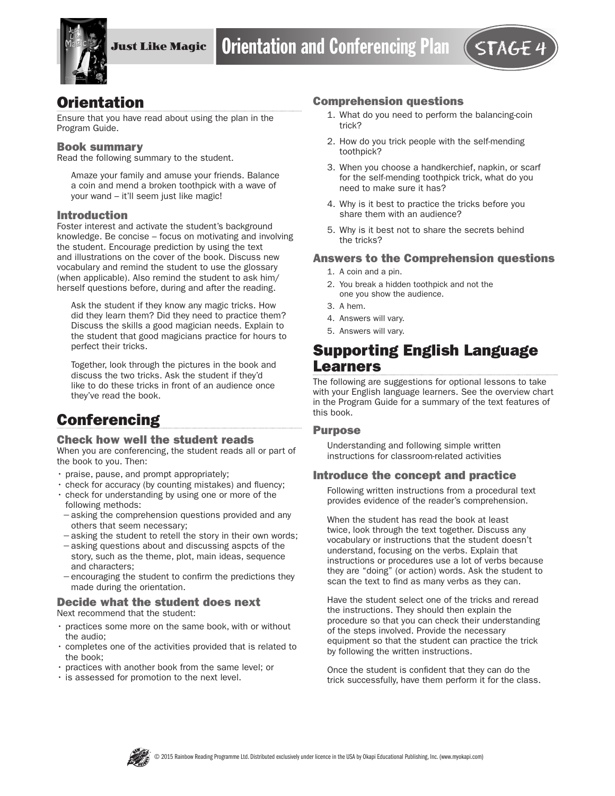

# **Orientation**

Ensure that you have read about using the plan in the Program Guide.

#### Book summary

Read the following summary to the student.

Amaze your family and amuse your friends. Balance a coin and mend a broken toothpick with a wave of your wand – it'll seem just like magic!

#### Introduction

Foster interest and activate the student's background knowledge. Be concise – focus on motivating and involving the student. Encourage prediction by using the text and illustrations on the cover of the book. Discuss new vocabulary and remind the student to use the glossary (when applicable). Also remind the student to ask him/ herself questions before, during and after the reading.

Ask the student if they know any magic tricks. How did they learn them? Did they need to practice them? Discuss the skills a good magician needs. Explain to the student that good magicians practice for hours to perfect their tricks.

Together, look through the pictures in the book and discuss the two tricks. Ask the student if they'd like to do these tricks in front of an audience once they've read the book.

# **Conferencing**

#### Check how well the student reads

When you are conferencing, the student reads all or part of the book to you. Then:

- praise, pause, and prompt appropriately;
- check for accuracy (by counting mistakes) and fluency;
- check for understanding by using one or more of the following methods:
- −asking the comprehension questions provided and any others that seem necessary;
- −asking the student to retell the story in their own words;
- −asking questions about and discussing aspcts of the story, such as the theme, plot, main ideas, sequence and characters;
- −encouraging the student to confirm the predictions they made during the orientation.

#### Decide what the student does next Next recommend that the student:

- practices some more on the same book, with or without
- the audio;
- completes one of the activities provided that is related to the book;
- practices with another book from the same level; or
- is assessed for promotion to the next level.

#### Comprehension questions

- 1. What do you need to perform the balancing-coin trick?
- 2. How do you trick people with the self-mending toothpick?
- 3. When you choose a handkerchief, napkin, or scarf for the self-mending toothpick trick, what do you need to make sure it has?
- 4. Why is it best to practice the tricks before you share them with an audience?
- 5. Why is it best not to share the secrets behind the tricks?

### Answers to the Comprehension questions

- 1. A coin and a pin.
- 2. You break a hidden toothpick and not the one you show the audience.
- 3. A hem.
- 4. Answers will vary.
- 5. Answers will vary.

# Supporting English Language Learners

The following are suggestions for optional lessons to take with your English language learners. See the overview chart in the Program Guide for a summary of the text features of this book.

#### Purpose

Understanding and following simple written instructions for classroom-related activities

### Introduce the concept and practice

Following written instructions from a procedural text provides evidence of the reader's comprehension.

When the student has read the book at least twice, look through the text together. Discuss any vocabulary or instructions that the student doesn't understand, focusing on the verbs. Explain that instructions or procedures use a lot of verbs because they are "doing" (or action) words. Ask the student to scan the text to find as many verbs as they can.

Have the student select one of the tricks and reread the instructions. They should then explain the procedure so that you can check their understanding of the steps involved. Provide the necessary equipment so that the student can practice the trick by following the written instructions.

Once the student is confident that they can do the trick successfully, have them perform it for the class.

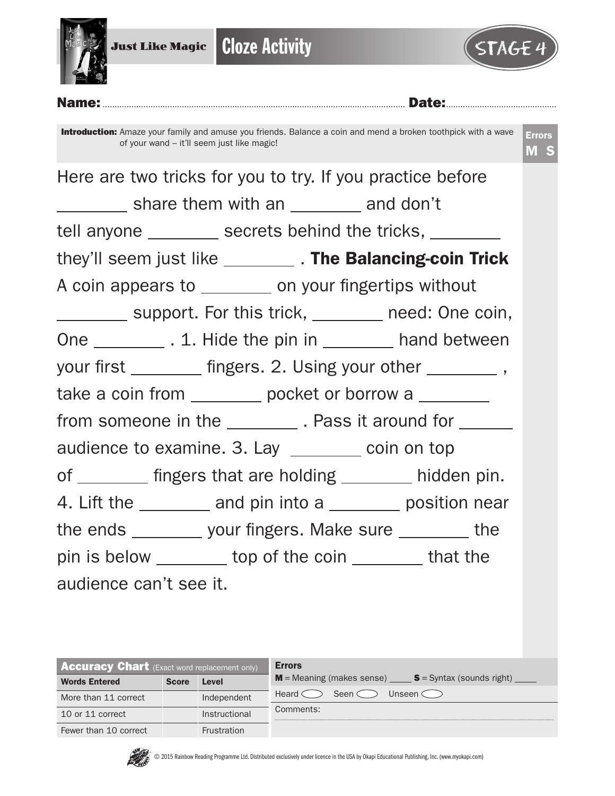



| Introduction: Amaze your family and amuse you friends. Balance a coin and mend a broken toothpick with a wave<br>of your wand – it'll seem just like magic! |  |  |  |  |  |  |  |  |
|-------------------------------------------------------------------------------------------------------------------------------------------------------------|--|--|--|--|--|--|--|--|
| Here are two tricks for you to try. If you practice before                                                                                                  |  |  |  |  |  |  |  |  |
| share them with an ________ and don't                                                                                                                       |  |  |  |  |  |  |  |  |
| tell anyone __________ secrets behind the tricks, _________                                                                                                 |  |  |  |  |  |  |  |  |
| they'll seem just like __________. The Balancing-coin Trick                                                                                                 |  |  |  |  |  |  |  |  |
| A coin appears to ________ on your fingertips without                                                                                                       |  |  |  |  |  |  |  |  |
| ___________ support. For this trick, _________ need: One coin,                                                                                              |  |  |  |  |  |  |  |  |
| One 1.1. Hide the pin in 1.1. Thand between                                                                                                                 |  |  |  |  |  |  |  |  |
| your first _________ fingers. 2. Using your other _________ ,                                                                                               |  |  |  |  |  |  |  |  |
| take a coin from __________ pocket or borrow a ________                                                                                                     |  |  |  |  |  |  |  |  |
| from someone in the ___________. Pass it around for _______                                                                                                 |  |  |  |  |  |  |  |  |
| audience to examine. 3. Lay _________ coin on top                                                                                                           |  |  |  |  |  |  |  |  |
| of _______ fingers that are holding ______ hidden pin.                                                                                                      |  |  |  |  |  |  |  |  |
| 4. Lift the <u>equal</u> and pin into a <u>equal</u> position near                                                                                          |  |  |  |  |  |  |  |  |
| the ends __________ your fingers. Make sure _________ the                                                                                                   |  |  |  |  |  |  |  |  |
| pin is below ________ top of the coin _________ that the                                                                                                    |  |  |  |  |  |  |  |  |
| audience can't see it.                                                                                                                                      |  |  |  |  |  |  |  |  |

| <b>Accuracy Chart</b> (Exact word replacement only) |              |                    | <b>Errors</b>                                                   |
|-----------------------------------------------------|--------------|--------------------|-----------------------------------------------------------------|
| <b>Words Entered</b>                                | <b>Score</b> | Level              | $M$ = Meaning (makes sense) $S =$ Syntax (sounds right)         |
| More than 11 correct                                |              | Independent        | Seen $\subset$<br>Heard $\subset$<br>Unseen $\subset$ $\supset$ |
| 10 or 11 correct                                    |              | Instructional      | Comments:                                                       |
| Fewer than 10 correct                               |              | <b>Frustration</b> |                                                                 |

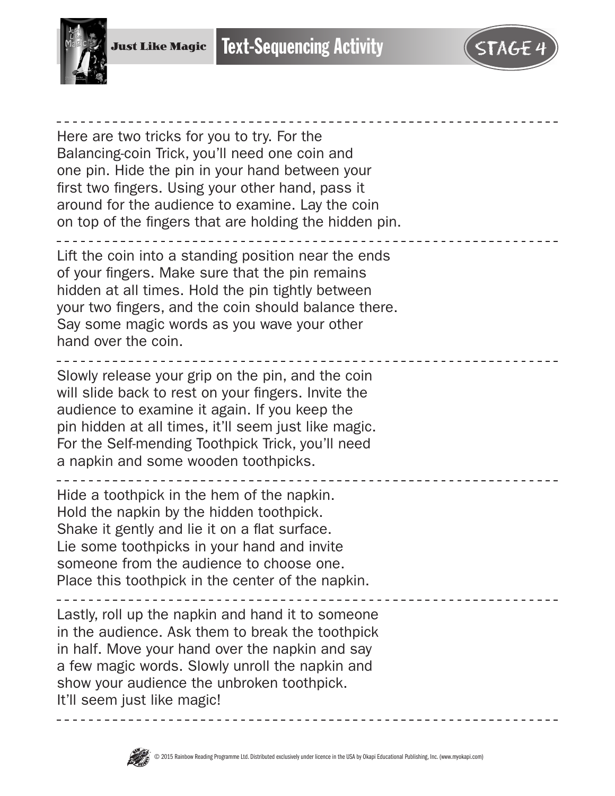

Here are two tricks for you to try. For the Balancing-coin Trick, you'll need one coin and one pin. Hide the pin in your hand between your first two fingers. Using your other hand, pass it around for the audience to examine. Lay the coin on top of the fingers that are holding the hidden pin. Lift the coin into a standing position near the ends of your fingers. Make sure that the pin remains hidden at all times. Hold the pin tightly between your two fingers, and the coin should balance there. Say some magic words as you wave your other hand over the coin. Slowly release your grip on the pin, and the coin will slide back to rest on your fingers. Invite the audience to examine it again. If you keep the pin hidden at all times, it'll seem just like magic. For the Self-mending Toothpick Trick, you'll need a napkin and some wooden toothpicks. Hide a toothpick in the hem of the napkin. Hold the napkin by the hidden toothpick. Shake it gently and lie it on a flat surface. Lie some toothpicks in your hand and invite someone from the audience to choose one. Place this toothpick in the center of the napkin. Lastly, roll up the napkin and hand it to someone in the audience. Ask them to break the toothpick in half. Move your hand over the napkin and say a few magic words. Slowly unroll the napkin and show your audience the unbroken toothpick. It'll seem just like magic!

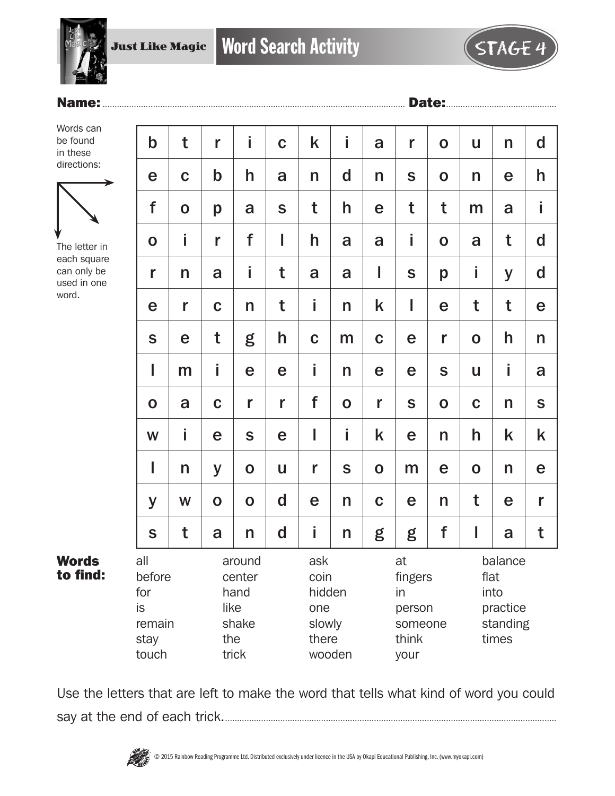

## Name:.............................................................................................................................. Date:..............................................

Words can be found in these directions:



The letter in each square can only be used in one word.

| $\mathbf b$                                                                                                        | t           | r           | i                                               | $\mathbf C$ | k                                                         | İ.          | a           | r                                                        | $\mathbf O$ | U           | n | $\mathbf d$ |
|--------------------------------------------------------------------------------------------------------------------|-------------|-------------|-------------------------------------------------|-------------|-----------------------------------------------------------|-------------|-------------|----------------------------------------------------------|-------------|-------------|---|-------------|
| e                                                                                                                  | $\mathbf C$ | $\mathbf b$ | h                                               | a           | n                                                         | d           | n           | S                                                        | $\mathbf O$ | n           | e | h           |
| f                                                                                                                  | $\mathbf O$ | p           | a                                               | S           | t                                                         | h           | e           | t                                                        | t           | m           | a | i           |
| $\mathbf O$                                                                                                        | İ           | r           | f                                               | I           | h                                                         | a           | a           | i                                                        | $\mathbf O$ | a           | t | d           |
| r                                                                                                                  | n           | a           | İ                                               | t           | a                                                         | a           | I           | $\mathbf S$                                              | p           | İ           | y | d           |
| e                                                                                                                  | r           | $\mathbf C$ | n                                               | t           | İ                                                         | n           | k           | I                                                        | e           | t           | t | e           |
| S                                                                                                                  | e           | t           | g                                               | h           | $\mathbf C$                                               | m           | $\mathbf C$ | e                                                        | r           | $\mathbf 0$ | h | n           |
| I                                                                                                                  | m           | İ           | e                                               | e           | İ                                                         | n           | e           | e                                                        | S           | U           | i | a           |
| $\mathbf O$                                                                                                        | a           | $\mathbf C$ | r                                               | r           | f                                                         | $\mathbf O$ | r           | $\mathbf S$                                              | $\mathbf 0$ | $\mathbf C$ | n | $\mathsf S$ |
| W                                                                                                                  | İ           | e           | $\mathbf S$                                     | e           | I                                                         | İ           | k           | e                                                        | n           | h           | k | k           |
| I                                                                                                                  | n           | y           | $\mathbf O$                                     | U           | r                                                         | S           | $\mathbf O$ | m                                                        | e           | $\mathbf 0$ | n | e           |
| y                                                                                                                  | W           | $\mathbf 0$ | $\mathbf O$                                     | d           | e                                                         | n           | $\mathbf C$ | e                                                        | n           | t           | e | r           |
| $\mathbf S$                                                                                                        | t           | a           | n                                               | d           | İ                                                         | n           | g           | g                                                        | f           | I           | a | t           |
| all<br>around<br>before<br>center<br>for<br>hand<br>like<br>is<br>shake<br>remain<br>the<br>stay<br>trick<br>touch |             |             | ask<br>coin<br>hidden<br>one<br>slowly<br>there | wooden      | at<br>fingers<br>in<br>person<br>someone<br>think<br>your |             |             | balance<br>flat<br>into<br>practice<br>standing<br>times |             |             |   |             |

Words to find:

Use the letters that are left to make the word that tells what kind of word you could say at the end of each trick...........................................................................................................................................

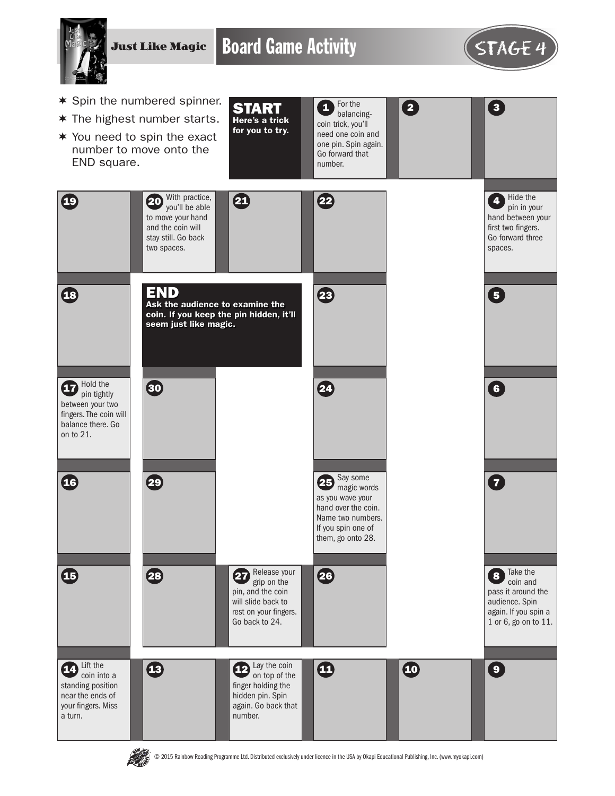



 $*$  The highest number starts.

## $*$  You need to spin the exact number to move onto the END square.



 $\begin{array}{|c|c|c|c|}\n\hline\n2 & 3\n\end{array}$ 



Lift the

a turn.

15

on to 21.

18

16

© 2015 Rainbow Reading Programme Ltd. Distributed exclusively under licence in the USA by Okapi Educational Publishing, Inc. (www.myokapi.com)